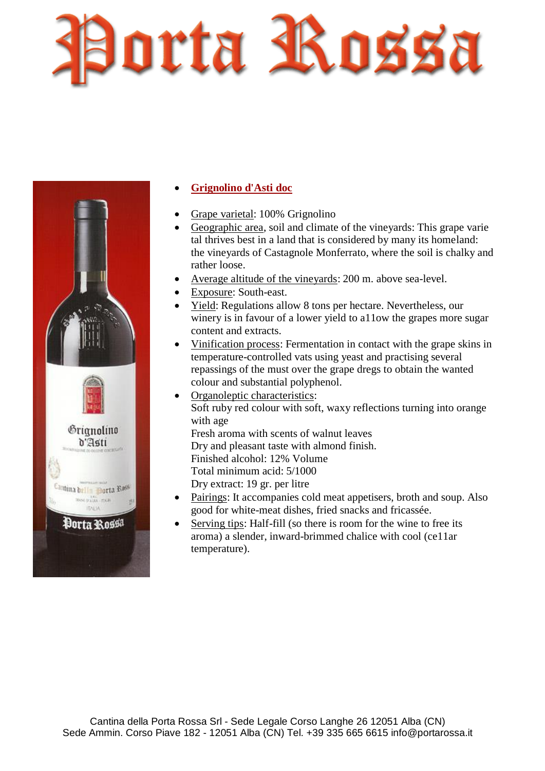



## **[Grignolino d'Asti doc](http://www.langheweb.com/portarossa/vini/grignolino.htm)**

- Grape varietal: 100% Grignolino
- Geographic area, soil and climate of the vineyards: This grape varie tal thrives best in a land that is considered by many its homeland: the vineyards of Castagnole Monferrato, where the soil is chalky and rather loose.
- Average altitude of the vineyards: 200 m. above sea-level.
- Exposure: South-east.
- Yield: Regulations allow 8 tons per hectare. Nevertheless, our winery is in favour of a lower yield to a11ow the grapes more sugar content and extracts.
- Vinification process: Fermentation in contact with the grape skins in temperature-controlled vats using yeast and practising several repassings of the must over the grape dregs to obtain the wanted colour and substantial polyphenol.
- Organoleptic characteristics: Soft ruby red colour with soft, waxy reflections turning into orange with age Fresh aroma with scents of walnut leaves Dry and pleasant taste with almond finish. Finished alcohol: 12% Volume Total minimum acid: 5/1000 Dry extract: 19 gr. per litre
- Pairings: It accompanies cold meat appetisers, broth and soup. Also good for white-meat dishes, fried snacks and fricassée.
- Serving tips: Half-fill (so there is room for the wine to free its aroma) a slender, inward-brimmed chalice with cool (ce11ar temperature).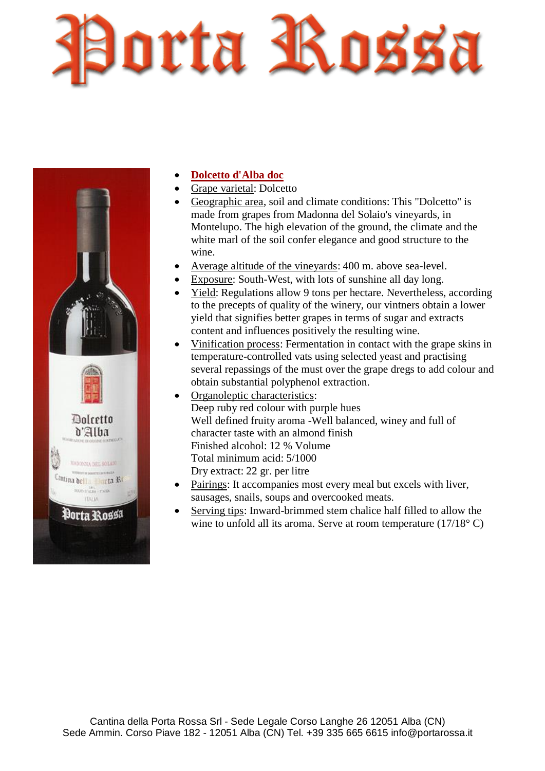



- **[Dolcetto d'Alba doc](http://www.langheweb.com/portarossa/vini/dolcetto.htm)**
- Grape varietal: Dolcetto
- Geographic area, soil and climate conditions: This "Dolcetto" is made from grapes from Madonna del Solaio's vineyards, in Montelupo. The high elevation of the ground, the climate and the white marl of the soil confer elegance and good structure to the wine.
- Average altitude of the vineyards: 400 m. above sea-level.
- Exposure: South-West, with lots of sunshine all day long.
- Yield: Regulations allow 9 tons per hectare. Nevertheless, according to the precepts of quality of the winery, our vintners obtain a lower yield that signifies better grapes in terms of sugar and extracts content and influences positively the resulting wine.
- Vinification process: Fermentation in contact with the grape skins in temperature-controlled vats using selected yeast and practising several repassings of the must over the grape dregs to add colour and obtain substantial polyphenol extraction.
- Organoleptic characteristics: Deep ruby red colour with purple hues Well defined fruity aroma -Well balanced, winey and full of character taste with an almond finish Finished alcohol: 12 % Volume Total minimum acid: 5/1000 Dry extract: 22 gr. per litre
- Pairings: It accompanies most every meal but excels with liver, sausages, snails, soups and overcooked meats.
- Serving tips: Inward-brimmed stem chalice half filled to allow the wine to unfold all its aroma. Serve at room temperature (17/18<sup>°</sup>C)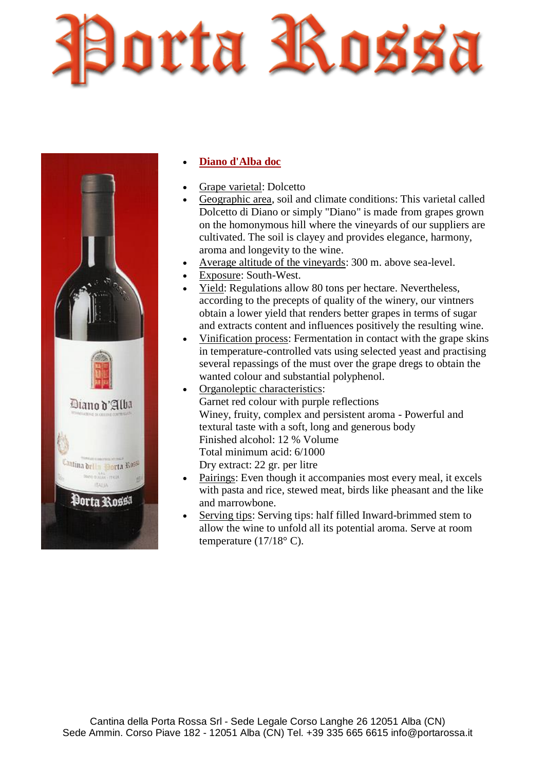



## **[Diano d'Alba doc](http://www.langheweb.com/portarossa/vini/diano.htm)**

- Grape varietal: Dolcetto
- Geographic area, soil and climate conditions: This varietal called Dolcetto di Diano or simply "Diano" is made from grapes grown on the homonymous hill where the vineyards of our suppliers are cultivated. The soil is clayey and provides elegance, harmony, aroma and longevity to the wine.
- Average altitude of the vineyards: 300 m. above sea-level.
- Exposure: South-West.
- Yield: Regulations allow 80 tons per hectare. Nevertheless, according to the precepts of quality of the winery, our vintners obtain a lower yield that renders better grapes in terms of sugar and extracts content and influences positively the resulting wine.
- Vinification process: Fermentation in contact with the grape skins in temperature-controlled vats using selected yeast and practising several repassings of the must over the grape dregs to obtain the wanted colour and substantial polyphenol.
- Organoleptic characteristics: Garnet red colour with purple reflections Winey, fruity, complex and persistent aroma - Powerful and textural taste with a soft, long and generous body Finished alcohol: 12 % Volume Total minimum acid: 6/1000 Dry extract: 22 gr. per litre
- Pairings: Even though it accompanies most every meal, it excels with pasta and rice, stewed meat, birds like pheasant and the like and marrowbone.
- Serving tips: Serving tips: half filled Inward-brimmed stem to allow the wine to unfold all its potential aroma. Serve at room temperature  $(17/18^{\circ} \text{ C})$ .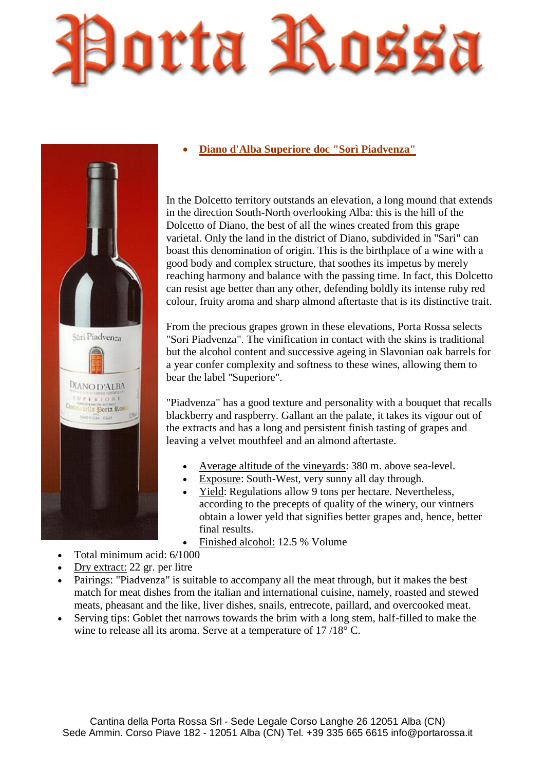Eorta Rossa



#### **Diano d'Alba Superiore doc "Sorì Piadvenza"**

In the Dolcetto territory outstands an elevation, a long mound that extends in the direction South-North overlooking Alba: this is the hill of the Dolcetto of Diano, the best of all the wines created from this grape varietal. Only the land in the district of Diano, subdivided in "Sari" can boast this denomination of origin. This is the birthplace of a wine with a good body and complex structure, that soothes its impetus by merely reaching harmony and balance with the passing time. In fact, this Dolcetto can resist age better than any other, defending boldly its intense ruby red colour, fruity aroma and sharp almond aftertaste that is its distinctive trait.

From the precious grapes grown in these elevations, Porta Rossa selects "Sori Piadvenza". The vinification in contact with the skins is traditional but the alcohol content and successive ageing in Slavonian oak barrels for a year confer complexity and softness to these wines, allowing them to bear the label "Superiore".

"Piadvenza" has a good texture and personality with a bouquet that recalls blackberry and raspberry. Gallant an the palate, it takes its vigour out of the extracts and has a long and persistent finish tasting of grapes and leaving a velvet mouthfeel and an almond aftertaste.

- Average altitude of the vineyards: 380 m. above sea-level.
- Exposure: South-West, very sunny all day through.
- Yield: Regulations allow 9 tons per hectare. Nevertheless, according to the precepts of quality of the winery, our vintners obtain a lower yeld that signifies better grapes and, hence, better final results.
- Finished alcohol: 12.5 % Volume
- Total minimum acid: 6/1000
- Dry extract: 22 gr. per litre
- Pairings: "Piadvenza" is suitable to accompany all the meat through, but it makes the best match for meat dishes from the italian and international cuisine, namely, roasted and stewed meats, pheasant and the like, liver dishes, snails, entrecote, paillard, and overcooked meat.
- Serving tips: Goblet thet narrows towards the brim with a long stem, half-filled to make the wine to release all its aroma. Serve at a temperature of 17 /18° C.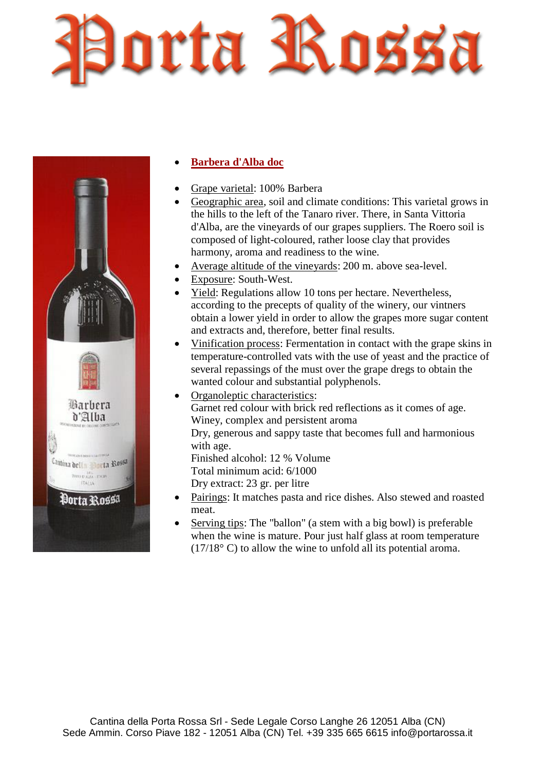



## **[Barbera d'Alba doc](http://www.langheweb.com/portarossa/vini/barbera.htm)**

- Grape varietal: 100% Barbera
- Geographic area, soil and climate conditions: This varietal grows in the hills to the left of the Tanaro river. There, in Santa Vittoria d'Alba, are the vineyards of our grapes suppliers. The Roero soil is composed of light-coloured, rather loose clay that provides harmony, aroma and readiness to the wine.
- Average altitude of the vineyards: 200 m. above sea-level.
- Exposure: South-West.
- Yield: Regulations allow 10 tons per hectare. Nevertheless, according to the precepts of quality of the winery, our vintners obtain a lower yield in order to allow the grapes more sugar content and extracts and, therefore, better final results.
- Vinification process: Fermentation in contact with the grape skins in temperature-controlled vats with the use of yeast and the practice of several repassings of the must over the grape dregs to obtain the wanted colour and substantial polyphenols.
- Organoleptic characteristics: Garnet red colour with brick red reflections as it comes of age. Winey, complex and persistent aroma Dry, generous and sappy taste that becomes full and harmonious with age. Finished alcohol: 12 % Volume Total minimum acid: 6/1000 Dry extract: 23 gr. per litre
- Pairings: It matches pasta and rice dishes. Also stewed and roasted meat.
- Serving tips: The "ballon" (a stem with a big bowl) is preferable when the wine is mature. Pour just half glass at room temperature (17/18° C) to allow the wine to unfold all its potential aroma.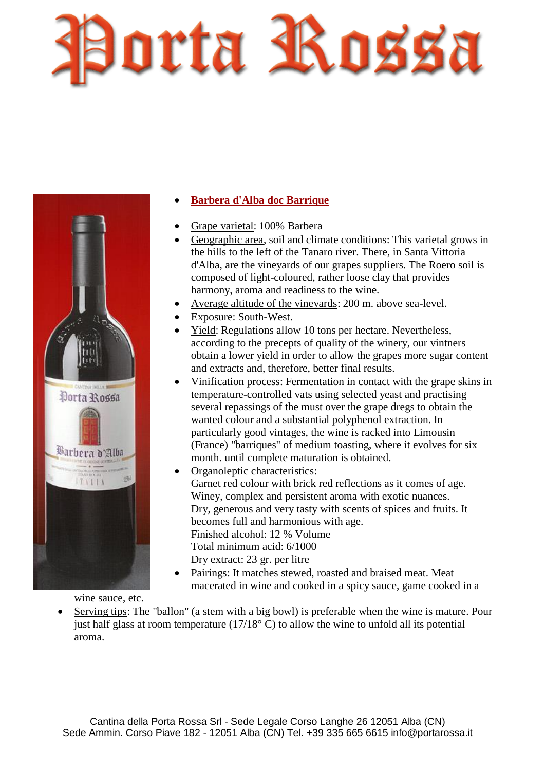



# **[Barbera d'Alba doc Barrique](http://www.langheweb.com/portarossa/vini/barberabarrique.htm)**

- Grape varietal: 100% Barbera
- Geographic area, soil and climate conditions: This varietal grows in the hills to the left of the Tanaro river. There, in Santa Vittoria d'Alba, are the vineyards of our grapes suppliers. The Roero soil is composed of light-coloured, rather loose clay that provides harmony, aroma and readiness to the wine.
- Average altitude of the vineyards: 200 m. above sea-level.
- Exposure: South-West.
- Yield: Regulations allow 10 tons per hectare. Nevertheless, according to the precepts of quality of the winery, our vintners obtain a lower yield in order to allow the grapes more sugar content and extracts and, therefore, better final results.
- Vinification process: Fermentation in contact with the grape skins in temperature-controlled vats using selected yeast and practising several repassings of the must over the grape dregs to obtain the wanted colour and a substantial polyphenol extraction. In particularly good vintages, the wine is racked into Limousin (France) "barriques" of medium toasting, where it evolves for six month. until complete maturation is obtained.
- Organoleptic characteristics: Garnet red colour with brick red reflections as it comes of age. Winey, complex and persistent aroma with exotic nuances. Dry, generous and very tasty with scents of spices and fruits. It becomes full and harmonious with age. Finished alcohol: 12 % Volume Total minimum acid: 6/1000 Dry extract: 23 gr. per litre
- Pairings: It matches stewed, roasted and braised meat. Meat macerated in wine and cooked in a spicy sauce, game cooked in a

wine sauce, etc.

 Serving tips: The "ballon" (a stem with a big bowl) is preferable when the wine is mature. Pour just half glass at room temperature (17/18° C) to allow the wine to unfold all its potential aroma.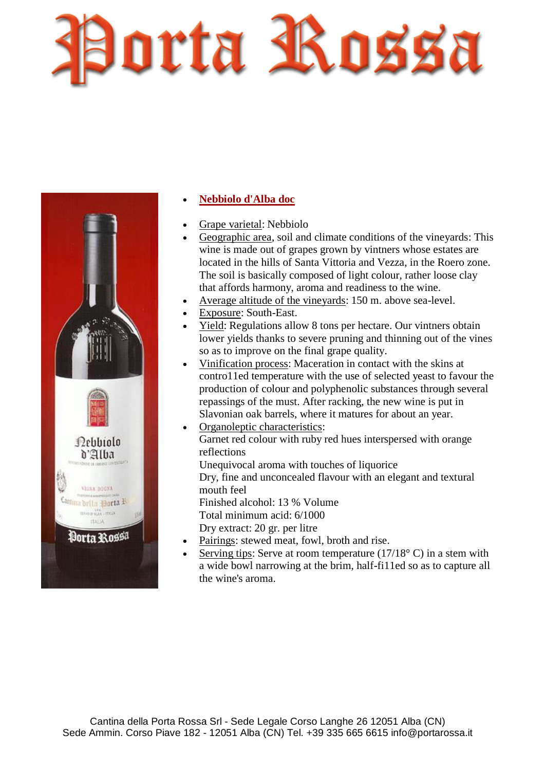



## **[Nebbiolo d'Alba doc](http://www.langheweb.com/portarossa/vini/nebbiolo.htm)**

- Grape varietal: Nebbiolo
- Geographic area, soil and climate conditions of the vineyards: This wine is made out of grapes grown by vintners whose estates are located in the hills of Santa Vittoria and Vezza, in the Roero zone. The soil is basically composed of light colour, rather loose clay that affords harmony, aroma and readiness to the wine.
- Average altitude of the vineyards: 150 m. above sea-level.
- Exposure: South-East.
- Yield: Regulations allow 8 tons per hectare. Our vintners obtain lower yields thanks to severe pruning and thinning out of the vines so as to improve on the final grape quality.
- Vinification process: Maceration in contact with the skins at contro11ed temperature with the use of selected yeast to favour the production of colour and polyphenolic substances through several repassings of the must. After racking, the new wine is put in Slavonian oak barrels, where it matures for about an year.
- Organoleptic characteristics: Garnet red colour with ruby red hues interspersed with orange reflections Unequivocal aroma with touches of liquorice Dry, fine and unconcealed flavour with an elegant and textural mouth feel Finished alcohol: 13 % Volume Total minimum acid: 6/1000 Dry extract: 20 gr. per litre • Pairings: stewed meat, fowl, broth and rise.
- Serving tips: Serve at room temperature  $(17/18^{\circ} \text{ C})$  in a stem with a wide bowl narrowing at the brim, half-fi11ed so as to capture all the wine's aroma.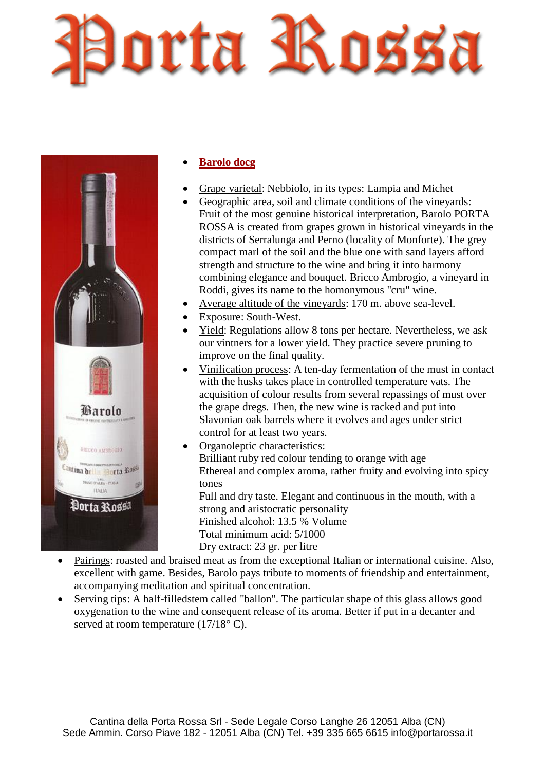Borta Rossa



#### **[Barolo docg](http://www.langheweb.com/portarossa/vini/barolo.htm)**

- Grape varietal: Nebbiolo, in its types: Lampia and Michet
- Geographic area, soil and climate conditions of the vineyards: Fruit of the most genuine historical interpretation, Barolo PORTA ROSSA is created from grapes grown in historical vineyards in the districts of Serralunga and Perno (locality of Monforte). The grey compact marl of the soil and the blue one with sand layers afford strength and structure to the wine and bring it into harmony combining elegance and bouquet. Bricco Ambrogio, a vineyard in Roddi, gives its name to the homonymous "cru" wine.
- Average altitude of the vineyards: 170 m. above sea-level.
- Exposure: South-West.
- Yield: Regulations allow 8 tons per hectare. Nevertheless, we ask our vintners for a lower yield. They practice severe pruning to improve on the final quality.
- Vinification process: A ten-day fermentation of the must in contact with the husks takes place in controlled temperature vats. The acquisition of colour results from several repassings of must over the grape dregs. Then, the new wine is racked and put into Slavonian oak barrels where it evolves and ages under strict control for at least two years.
- Organoleptic characteristics: Brilliant ruby red colour tending to orange with age Ethereal and complex aroma, rather fruity and evolving into spicy tones Full and dry taste. Elegant and continuous in the mouth, with a strong and aristocratic personality Finished alcohol: 13.5 % Volume Total minimum acid: 5/1000 Dry extract: 23 gr. per litre
- Pairings: roasted and braised meat as from the exceptional Italian or international cuisine. Also, excellent with game. Besides, Barolo pays tribute to moments of friendship and entertainment, accompanying meditation and spiritual concentration.
- Serving tips: A half-filledstem called "ballon". The particular shape of this glass allows good oxygenation to the wine and consequent release of its aroma. Better if put in a decanter and served at room temperature (17/18°C).